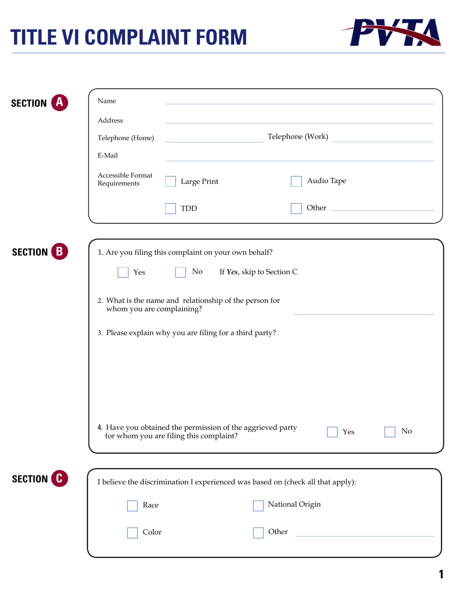## **TITLE VI COMPLAINT FORM**



|                                | Name                                                                                                               |
|--------------------------------|--------------------------------------------------------------------------------------------------------------------|
| <b>SECTION</b>                 | Address                                                                                                            |
|                                | Telephone (Work)<br>Telephone (Home)                                                                               |
|                                | E-Mail                                                                                                             |
|                                | Accessible Format<br>Audio Tape<br>Large Print<br>Requirements                                                     |
|                                | Other<br><b>TDD</b>                                                                                                |
|                                |                                                                                                                    |
| <b>SECTION</b><br>B            | 1. Are you filing this complaint on your own behalf?                                                               |
|                                | No<br>If Yes, skip to Section C<br>Yes                                                                             |
|                                | 2. What is the name and relationship of the person for<br>whom you are complaining?                                |
|                                | 3. Please explain why you are filing for a third party?                                                            |
|                                |                                                                                                                    |
|                                |                                                                                                                    |
|                                |                                                                                                                    |
|                                | 4. Have you obtained the permission of the aggrieved party<br>No<br>Yes<br>for whom you are filing this complaint? |
|                                |                                                                                                                    |
| <b>SECTION</b><br>$\mathbf{C}$ | I believe the discrimination I experienced was based on (check all that apply):                                    |
|                                | National Origin<br>Race                                                                                            |
|                                | Other<br>Color                                                                                                     |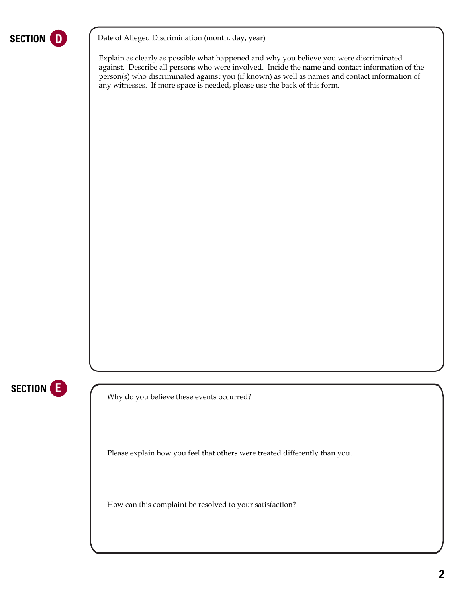

**SECTION** D <br>Date of Alleged Discrimination (month, day, year)

Explain as clearly as possible what happened and why you believe you were discriminated against. Describe all persons who were involved. Incide the name and contact information of the person(s) who discriminated against you (if known) as well as names and contact information of any witnesses. If more space is needed, please use the back of this form.



Why do you believe these events occurred?

Please explain how you feel that others were treated differently than you.

How can this complaint be resolved to your satisfaction?